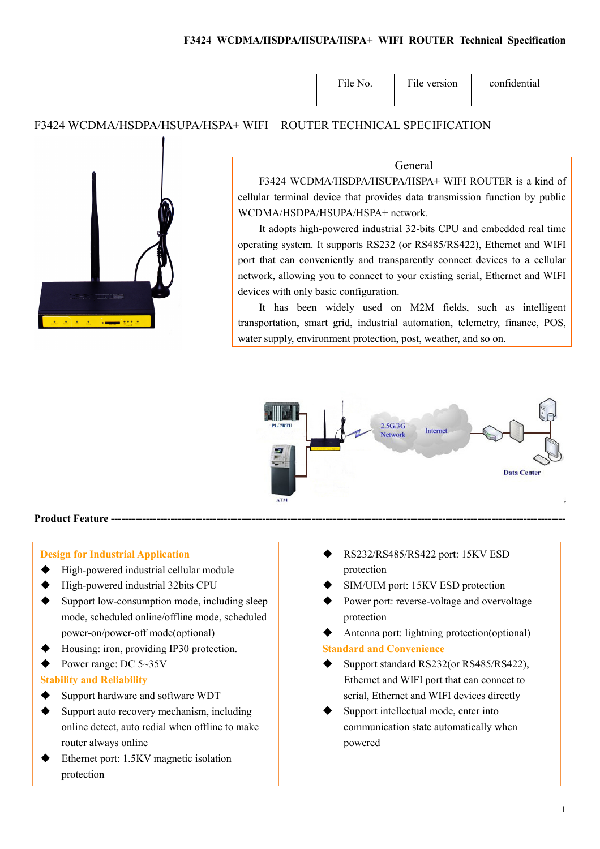### F3424 WCDMA/HSDPA/HSUPA/HSPA+ WIFI ROUTER Technical Specification

| File No. | File version | confidential |
|----------|--------------|--------------|
|          |              |              |

## F3424 WCDMA/HSDPA/HSUPA/HSPA+ WIFI ROUTER TECHNICAL SPECIFICATION



### General

F3424 WCDMA/HSDPA/HSUPA/HSPA+ WIFI ROUTER is a kind of cellular terminal device that provides data transmission function by public WCDMA/HSDPA/HSUPA/HSPA+ network.

It adopts high-powered industrial 32-bits CPU and embedded real time operating system. It supports RS232 (or RS485/RS422), Ethernet and WIFI port that can conveniently and transparently connect devices to a cellular network, allowing you to connect to your existing serial, Ethernet and WIFI devices with only basic configuration.

It has been widely used on M2M fields, such as intelligent transportation, smart grid, industrial automation, telemetry, finance, POS, water supply, environment protection, post, weather, and so on.



#### Product Feature ---

### Design for Industrial Application

- High-powered industrial cellular module
- ◆ High-powered industrial 32bits CPU
- $\blacklozenge$  Support low-consumption mode, including sleep mode, scheduled online/offline mode, scheduled power-on/power-off mode(optional)
- Housing: iron, providing IP30 protection.
- $\blacklozenge$  Power range: DC 5~35V

### Stability and Reliability

- ◆ Support hardware and software WDT
- Support auto recovery mechanism, including online detect, auto redial when offline to make router always online
- Ethernet port: 1.5KV magnetic isolation protection
- RS232/RS485/RS422 port: 15KV ESD protection
- SIM/UIM port: 15KV ESD protection
- Power port: reverse-voltage and overvoltage protection
- Antenna port: lightning protection(optional) Standard and Convenience
- Support standard RS232(or RS485/RS422), Ethernet and WIFI port that can connect to serial, Ethernet and WIFI devices directly
- Support intellectual mode, enter into communication state automatically when powered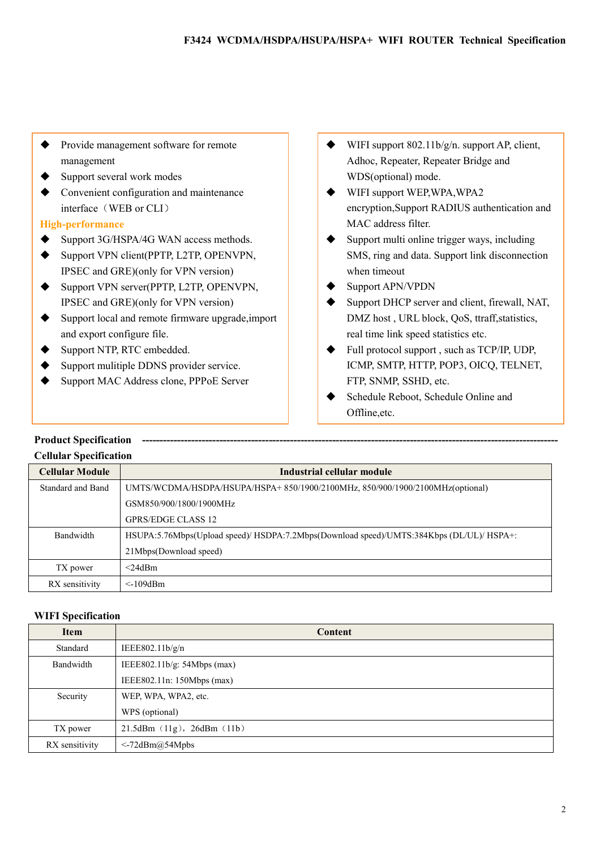- Provide management software for remote management
- ◆ Support several work modes
- Convenient configuration and maintenance interface (WEB or CLI)

### High-performance

- ◆ Support 3G/HSPA/4G WAN access methods.
- ◆ Support VPN client(PPTP, L2TP, OPENVPN, IPSEC and GRE)(only for VPN version)
- ◆ Support VPN server(PPTP, L2TP, OPENVPN, IPSEC and GRE)(only for VPN version)
- Support local and remote firmware upgrade,import and export configure file.
- ◆ Support NTP, RTC embedded.
- Support mulitiple DDNS provider service.
- Support MAC Address clone, PPPoE Server
- $\blacklozenge$  WIFI support 802.11b/g/n. support AP, client, Adhoc, Repeater, Repeater Bridge and WDS(optional) mode.
- ◆ WIFI support WEP, WPA, WPA2 encryption,Support RADIUS authentication and MAC address filter.
- $\blacklozenge$  Support multi online trigger ways, including SMS, ring and data. Support link disconnection when timeout
- Support APN/VPDN
- Support DHCP server and client, firewall, NAT, DMZ host , URL block, QoS, ttraff,statistics, real time link speed statistics etc.
- ◆ Full protocol support , such as TCP/IP, UDP, ICMP, SMTP, HTTP, POP3, OICQ, TELNET, FTP, SNMP, SSHD, etc.
- Schedule Reboot, Schedule Online and Offline,etc.

#### Product Specification Cellular Specification

| Cunular Specification  |                                                                                          |
|------------------------|------------------------------------------------------------------------------------------|
| <b>Cellular Module</b> | Industrial cellular module                                                               |
| Standard and Band      | UMTS/WCDMA/HSDPA/HSUPA/HSPA+850/1900/2100MHz, 850/900/1900/2100MHz(optional)             |
|                        | GSM850/900/1800/1900MHz                                                                  |
|                        | GPRS/EDGE CLASS 12                                                                       |
| Bandwidth              | HSUPA:5.76Mbps(Upload speed)/ HSDPA:7.2Mbps(Download speed)/UMTS:384Kbps (DL/UL)/ HSPA+: |
|                        | 21Mbps(Download speed)                                                                   |
| TX power               | $<$ 24dBm                                                                                |
| RX sensitivity         | $\leq$ 109dBm                                                                            |

### WIFI Specification

| <b>Item</b>    | <b>Content</b>              |
|----------------|-----------------------------|
| Standard       | IEEE802.11b/g/n             |
| Bandwidth      | IEEE802.11b/g: 54Mbps (max) |
|                | IEEE802.11n: 150Mbps (max)  |
| Security       | WEP, WPA, WPA2, etc.        |
|                | WPS (optional)              |
| TX power       | 21.5dBm (11g), 26dBm (11b)  |
| RX sensitivity | $\leq$ -72dBm@54Mpbs        |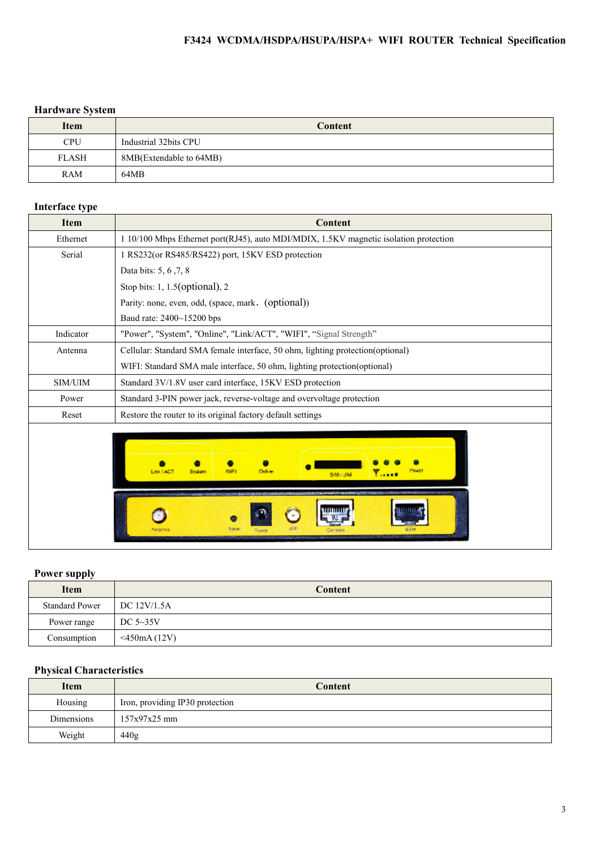## F3424 WCDMA/HSDPA/HSUPA/HSPA+ WIFI ROUTER Technical Specification

## Hardware System

| <b>Item</b>  | Content                 |
|--------------|-------------------------|
| <b>CPU</b>   | Industrial 32bits CPU   |
| <b>FLASH</b> | 8MB(Extendable to 64MB) |
| RAM          | 64MB                    |

# Interface type

| <b>Item</b> | Content                                                                               |  |
|-------------|---------------------------------------------------------------------------------------|--|
| Ethernet    | 1 10/100 Mbps Ethernet port(RJ45), auto MDI/MDIX, 1.5KV magnetic isolation protection |  |
| Serial      | 1 RS232(or RS485/RS422) port, 15KV ESD protection                                     |  |
|             | Data bits: 5, 6, 7, 8                                                                 |  |
|             | Stop bits: $1, 1.5$ (optional), $2$                                                   |  |
|             | Parity: none, even, odd, (space, mark, (optional))                                    |  |
|             | Baud rate: 2400~15200 bps                                                             |  |
| Indicator   | "Power", "System", "Online", "Link/ACT", "WIFI", "Signal Strength"                    |  |
| Antenna     | Cellular: Standard SMA female interface, 50 ohm, lighting protection (optional)       |  |
|             | WIFI: Standard SMA male interface, 50 ohm, lighting protection (optional)             |  |
| SIM/UIM     | Standard 3V/1.8V user card interface, 15KV ESD protection                             |  |
| Power       | Standard 3-PIN power jack, reverse-voltage and overvoltage protection                 |  |
| Reset       | Restore the router to its original factory default settings                           |  |
|             | Power<br>Online<br>Link / ACT<br>Svictiam<br><b>Y</b><br>SIM JUM                      |  |
|             | Rose                                                                                  |  |

## Power supply

| <b>Item</b>           | Content            |
|-----------------------|--------------------|
| <b>Standard Power</b> | DC 12V/1.5A        |
| Power range           | DC $5\sim35V$      |
| Consumption           | $\leq$ 450mA (12V) |

## Physical Characteristics

| <b>Item</b> | Content                         |
|-------------|---------------------------------|
| Housing     | Iron, providing IP30 protection |
| Dimensions  | $157x97x25$ mm                  |
| Weight      | 440g                            |